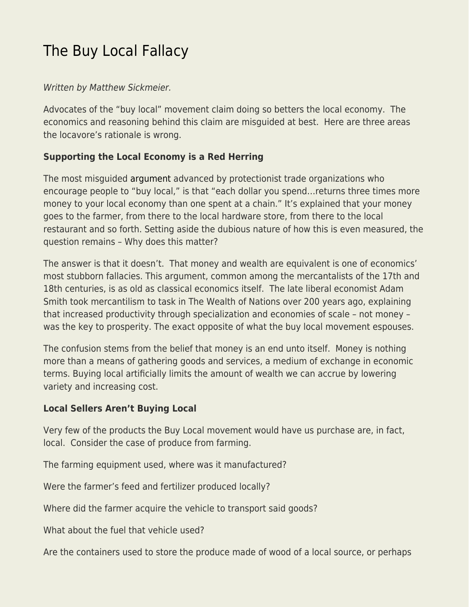# [The Buy Local Fallacy](https://everything-voluntary.com/buy-local-fallacy)

## Written by Matthew Sickmeier.

Advocates of the "buy local" movement claim doing so betters the local economy. The economics and reasoning behind this claim are misguided at best. Here are three areas the locavore's rationale is wrong.

## **Supporting the Local Economy is a Red Herring**

The most misguided [argument](http://www.amiba.net/resources/localhero/) advanced by protectionist trade organizations who encourage people to "buy local," is that "each dollar you spend…returns three times more money to your local economy than one spent at a chain." It's explained that your money goes to the farmer, from there to the local hardware store, from there to the local restaurant and so forth. Setting aside the dubious nature of how this is even measured, the question remains – Why does this matter?

The answer is that it doesn't. That money and wealth are equivalent is one of economics' most stubborn fallacies. This argument, common among the mercantalists of the 17th and 18th centuries, is as old as classical economics itself. The late liberal economist Adam Smith took mercantilism to task in The Wealth of Nations over 200 years ago, explaining that increased productivity through specialization and economies of scale – not money – was the key to prosperity. The exact opposite of what the buy local movement espouses.

The confusion stems from the belief that money is an end unto itself. Money is nothing more than a means of gathering goods and services, a medium of exchange in economic terms. Buying local artificially limits the amount of wealth we can accrue by lowering variety and increasing cost.

## **Local Sellers Aren't Buying Local**

Very few of the products the Buy Local movement would have us purchase are, in fact, local. Consider the case of produce from farming.

The farming equipment used, where was it manufactured?

Were the farmer's feed and fertilizer produced locally?

Where did the farmer acquire the vehicle to transport said goods?

What about the fuel that vehicle used?

Are the containers used to store the produce made of wood of a local source, or perhaps